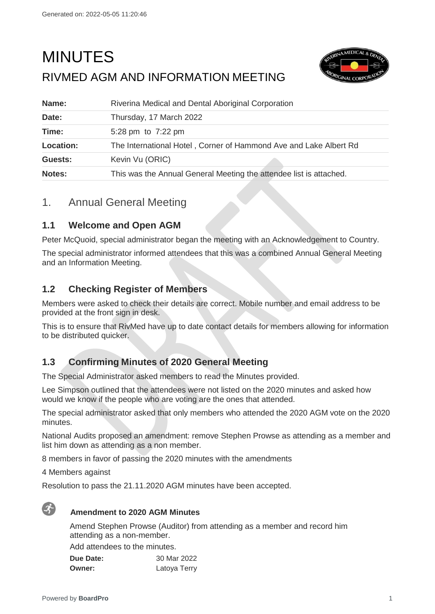# MINUTES RIVMED AGM AND INFORMATION MEETING



| Name:            | Riverina Medical and Dental Aboriginal Corporation                 |
|------------------|--------------------------------------------------------------------|
| Date:            | Thursday, 17 March 2022                                            |
| Time:            | 5:28 pm to 7:22 pm                                                 |
| <b>Location:</b> | The International Hotel, Corner of Hammond Ave and Lake Albert Rd  |
| Guests:          | Kevin Vu (ORIC)                                                    |
| Notes:           | This was the Annual General Meeting the attendee list is attached. |

# 1. Annual General Meeting

#### **1.1 Welcome and Open AGM**

Peter McQuoid, special administrator began the meeting with an Acknowledgement to Country. The special administrator informed attendees that this was a combined Annual General Meeting and an Information Meeting.

### **1.2 Checking Register of Members**

Members were asked to check their details are correct. Mobile number and email address to be provided at the front sign in desk.

This is to ensure that RivMed have up to date contact details for members allowing for information to be distributed quicker.

# **1.3 Confirming Minutes of 2020 General Meeting**

The Special Administrator asked members to read the Minutes provided.

Lee Simpson outlined that the attendees were not listed on the 2020 minutes and asked how would we know if the people who are voting are the ones that attended.

The special administrator asked that only members who attended the 2020 AGM vote on the 2020 minutes.

National Audits proposed an amendment: remove Stephen Prowse as attending as a member and list him down as attending as a non member.

8 members in favor of passing the 2020 minutes with the amendments

4 Members against

Resolution to pass the 21.11.2020 AGM minutes have been accepted.



#### **Amendment to 2020 AGM Minutes**

Amend Stephen Prowse (Auditor) from attending as a member and record him attending as a non-member.

Add attendees to the minutes.

| Due Date: | 30 Mar 2022  |
|-----------|--------------|
| Owner:    | Latoya Terry |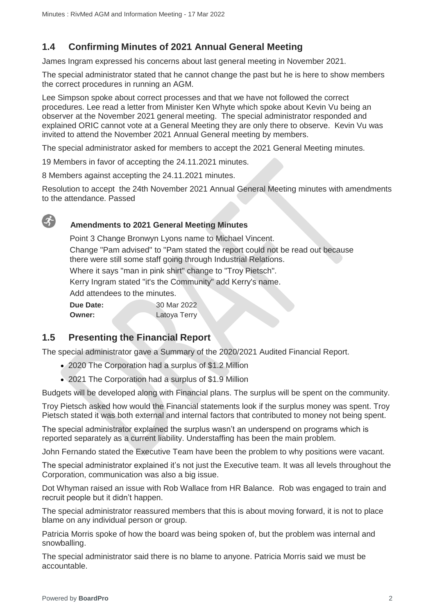# **1.4 Confirming Minutes of 2021 Annual General Meeting**

James Ingram expressed his concerns about last general meeting in November 2021.

The special administrator stated that he cannot change the past but he is here to show members the correct procedures in running an AGM.

Lee Simpson spoke about correct processes and that we have not followed the correct procedures. Lee read a letter from Minister Ken Whyte which spoke about Kevin Vu being an observer at the November 2021 general meeting. The special administrator responded and explained ORIC cannot vote at a General Meeting they are only there to observe. Kevin Vu was invited to attend the November 2021 Annual General meeting by members.

The special administrator asked for members to accept the 2021 General Meeting minutes.

19 Members in favor of accepting the 24.11.2021 minutes.

8 Members against accepting the 24.11.2021 minutes.

Resolution to accept the 24th November 2021 Annual General Meeting minutes with amendments to the attendance. Passed



# **Amendments to 2021 General Meeting Minutes**

Point 3 Change Bronwyn Lyons name to Michael Vincent. Change "Pam advised" to "Pam stated the report could not be read out because there were still some staff going through Industrial Relations. Where it says "man in pink shirt" change to "Troy Pietsch". Kerry Ingram stated "it's the Community" add Kerry's name. Add attendees to the minutes. **Due Date:** 30 Mar 2022

**Owner:** Latoya Terry

#### **1.5 Presenting the Financial Report**

The special administrator gave a Summary of the 2020/2021 Audited Financial Report.

- 2020 The Corporation had a surplus of \$1.2 Million
- 2021 The Corporation had a surplus of \$1.9 Million

Budgets will be developed along with Financial plans. The surplus will be spent on the community.

Troy Pietsch asked how would the Financial statements look if the surplus money was spent. Troy Pietsch stated it was both external and internal factors that contributed to money not being spent.

The special administrator explained the surplus wasn't an underspend on programs which is reported separately as a current liability. Understaffing has been the main problem.

John Fernando stated the Executive Team have been the problem to why positions were vacant.

The special administrator explained it's not just the Executive team. It was all levels throughout the Corporation, communication was also a big issue.

Dot Whyman raised an issue with Rob Wallace from HR Balance. Rob was engaged to train and recruit people but it didn't happen.

The special administrator reassured members that this is about moving forward, it is not to place blame on any individual person or group.

Patricia Morris spoke of how the board was being spoken of, but the problem was internal and snowballing.

The special administrator said there is no blame to anyone. Patricia Morris said we must be accountable.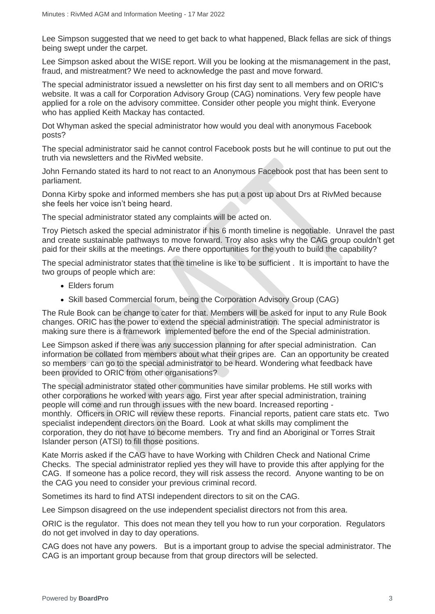Lee Simpson suggested that we need to get back to what happened, Black fellas are sick of things being swept under the carpet.

Lee Simpson asked about the WISE report. Will you be looking at the mismanagement in the past, fraud, and mistreatment? We need to acknowledge the past and move forward.

The special administrator issued a newsletter on his first day sent to all members and on ORIC's website. It was a call for Corporation Advisory Group (CAG) nominations. Very few people have applied for a role on the advisory committee. Consider other people you might think. Everyone who has applied Keith Mackay has contacted.

Dot Whyman asked the special administrator how would you deal with anonymous Facebook posts?

The special administrator said he cannot control Facebook posts but he will continue to put out the truth via newsletters and the RivMed website.

John Fernando stated its hard to not react to an Anonymous Facebook post that has been sent to parliament.

Donna Kirby spoke and informed members she has put a post up about Drs at RivMed because she feels her voice isn't being heard.

The special administrator stated any complaints will be acted on.

Troy Pietsch asked the special administrator if his 6 month timeline is negotiable. Unravel the past and create sustainable pathways to move forward. Troy also asks why the CAG group couldn't get paid for their skills at the meetings. Are there opportunities for the youth to build the capability?

The special administrator states that the timeline is like to be sufficient . It is important to have the two groups of people which are:

- Elders forum
- Skill based Commercial forum, being the Corporation Advisory Group (CAG)

The Rule Book can be change to cater for that. Members will be asked for input to any Rule Book changes. ORIC has the power to extend the special administration. The special administrator is making sure there is a framework implemented before the end of the Special administration.

Lee Simpson asked if there was any succession planning for after special administration. Can information be collated from members about what their gripes are. Can an opportunity be created so members can go to the special administrator to be heard. Wondering what feedback have been provided to ORIC from other organisations?

The special administrator stated other communities have similar problems. He still works with other corporations he worked with years ago. First year after special administration, training people will come and run through issues with the new board. Increased reporting monthly. Officers in ORIC will review these reports. Financial reports, patient care stats etc. Two specialist independent directors on the Board. Look at what skills may compliment the corporation, they do not have to become members. Try and find an Aboriginal or Torres Strait Islander person (ATSI) to fill those positions.

Kate Morris asked if the CAG have to have Working with Children Check and National Crime Checks. The special administrator replied yes they will have to provide this after applying for the CAG. If someone has a police record, they will risk assess the record. Anyone wanting to be on the CAG you need to consider your previous criminal record.

Sometimes its hard to find ATSI independent directors to sit on the CAG.

Lee Simpson disagreed on the use independent specialist directors not from this area.

ORIC is the regulator. This does not mean they tell you how to run your corporation. Regulators do not get involved in day to day operations.

CAG does not have any powers. But is a important group to advise the special administrator. The CAG is an important group because from that group directors will be selected.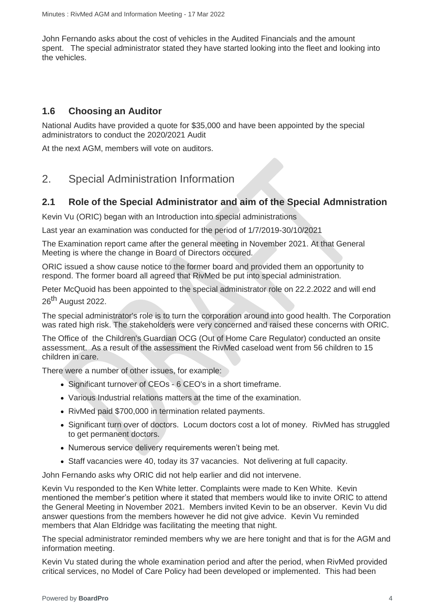John Fernando asks about the cost of vehicles in the Audited Financials and the amount spent. The special administrator stated they have started looking into the fleet and looking into the vehicles.

#### **1.6 Choosing an Auditor**

National Audits have provided a quote for \$35,000 and have been appointed by the special administrators to conduct the 2020/2021 Audit

At the next AGM, members will vote on auditors.

# 2. Special Administration Information

#### **2.1 Role of the Special Administrator and aim of the Special Admnistration**

Kevin Vu (ORIC) began with an Introduction into special administrations

Last year an examination was conducted for the period of 1/7/2019-30/10/2021

The Examination report came after the general meeting in November 2021. At that General Meeting is where the change in Board of Directors occured.

ORIC issued a show cause notice to the former board and provided them an opportunity to respond. The former board all agreed that RivMed be put into special administration.

Peter McQuoid has been appointed to the special administrator role on 22.2.2022 and will end 26<sup>th</sup> August 2022.

The special administrator's role is to turn the corporation around into good health. The Corporation was rated high risk. The stakeholders were very concerned and raised these concerns with ORIC.

The Office of the Children's Guardian OCG (Out of Home Care Regulator) conducted an onsite assessment. As a result of the assessment the RivMed caseload went from 56 children to 15 children in care.

There were a number of other issues, for example:

- Significant turnover of CEOs 6 CEO's in a short timeframe.
- Various Industrial relations matters at the time of the examination.
- RivMed paid \$700,000 in termination related payments.
- Significant turn over of doctors. Locum doctors cost a lot of money. RivMed has struggled to get permanent doctors.
- Numerous service delivery requirements weren't being met.
- Staff vacancies were 40, today its 37 vacancies. Not delivering at full capacity.

John Fernando asks why ORIC did not help earlier and did not intervene.

Kevin Vu responded to the Ken White letter. Complaints were made to Ken White. Kevin mentioned the member's petition where it stated that members would like to invite ORIC to attend the General Meeting in November 2021. Members invited Kevin to be an observer. Kevin Vu did answer questions from the members however he did not give advice. Kevin Vu reminded members that Alan Eldridge was facilitating the meeting that night.

The special administrator reminded members why we are here tonight and that is for the AGM and information meeting.

Kevin Vu stated during the whole examination period and after the period, when RivMed provided critical services, no Model of Care Policy had been developed or implemented. This had been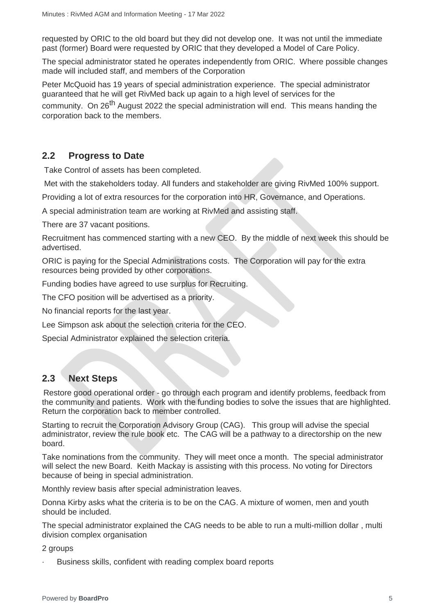requested by ORIC to the old board but they did not develop one. It was not until the immediate past (former) Board were requested by ORIC that they developed a Model of Care Policy.

The special administrator stated he operates independently from ORIC. Where possible changes made will included staff, and members of the Corporation

Peter McQuoid has 19 years of special administration experience. The special administrator guaranteed that he will get RivMed back up again to a high level of services for the community. On 26<sup>th</sup> August 2022 the special administration will end. This means handing the corporation back to the members.

#### **2.2 Progress to Date**

Take Control of assets has been completed.

Met with the stakeholders today. All funders and stakeholder are giving RivMed 100% support.

Providing a lot of extra resources for the corporation into HR, Governance, and Operations.

A special administration team are working at RivMed and assisting staff.

There are 37 vacant positions.

Recruitment has commenced starting with a new CEO. By the middle of next week this should be advertised.

ORIC is paying for the Special Administrations costs. The Corporation will pay for the extra resources being provided by other corporations.

Funding bodies have agreed to use surplus for Recruiting.

The CFO position will be advertised as a priority.

No financial reports for the last year.

Lee Simpson ask about the selection criteria for the CEO.

Special Administrator explained the selection criteria.

#### **2.3 Next Steps**

Restore good operational order - go through each program and identify problems, feedback from the community and patients. Work with the funding bodies to solve the issues that are highlighted. Return the corporation back to member controlled.

Starting to recruit the Corporation Advisory Group (CAG). This group will advise the special administrator, review the rule book etc. The CAG will be a pathway to a directorship on the new board.

Take nominations from the community. They will meet once a month. The special administrator will select the new Board. Keith Mackay is assisting with this process. No voting for Directors because of being in special administration.

Monthly review basis after special administration leaves.

Donna Kirby asks what the criteria is to be on the CAG. A mixture of women, men and youth should be included.

The special administrator explained the CAG needs to be able to run a multi-million dollar , multi division complex organisation

2 groups

Business skills, confident with reading complex board reports